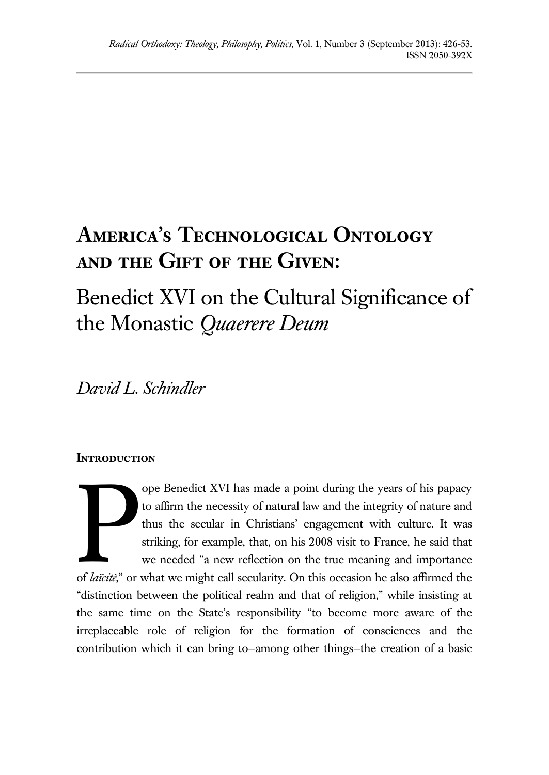# **America's Technological Ontology and the Gift of the Given:**

## Benedict XVI on the Cultural Significance of the Monastic *Quaerere Deum*

*David L. Schindler*

### **INTRODUCTION**

ope Benedict XVI has made a point during the years of his papacy to affirm the necessity of natural law and the integrity of nature and thus the secular in Christians' engagement with culture. It was striking, for example, that, on his 2008 visit to France, he said that we needed "a new reflection on the true meaning and importance of *laïcitè*," or what we might call secularity. On this occasion he also affirmed the "distinction between the political realm and that of religion," while insisting at the same time on the State's responsibility "to become more aware of the irreplaceable role of religion for the formation of consciences and the contribution which it can bring to—among other things—the creation of a basic **Particular**<br>Particular extension of latitude and one of latitude and the control of the control of the control of the control of the control of the control of the control of the control of the control of the control of th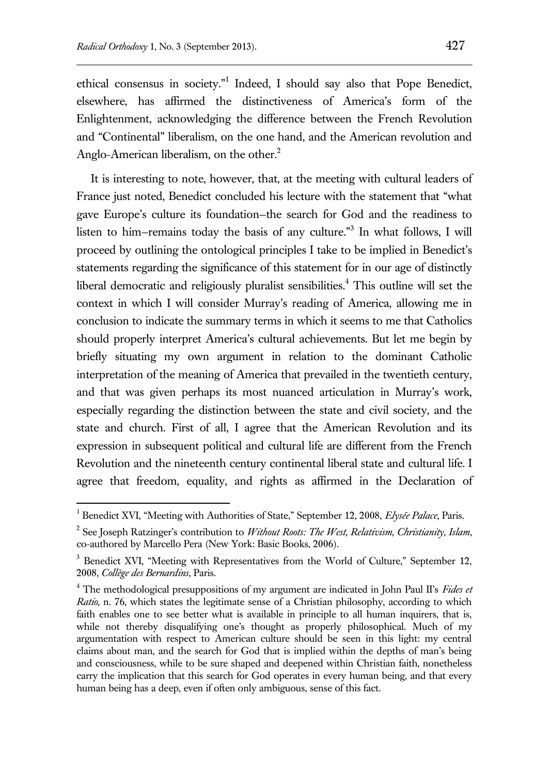$\overline{a}$ 

ethical consensus in society."<sup>1</sup> Indeed, I should say also that Pope Benedict, elsewhere, has affirmed the distinctiveness of America's form of the Enlightenment, acknowledging the difference between the French Revolution and "Continental" liberalism, on the one hand, and the American revolution and Anglo-American liberalism, on the other.<sup>2</sup>

It is interesting to note, however, that, at the meeting with cultural leaders of France just noted, Benedict concluded his lecture with the statement that "what gave Europe's culture its foundation—the search for God and the readiness to listen to him–remains today the basis of any culture."<sup>3</sup> In what follows, I will proceed by outlining the ontological principles I take to be implied in Benedict's statements regarding the significance of this statement for in our age of distinctly liberal democratic and religiously pluralist sensibilities.<sup>4</sup> This outline will set the context in which I will consider Murray's reading of America, allowing me in conclusion to indicate the summary terms in which it seems to me that Catholics should properly interpret America's cultural achievements. But let me begin by briefly situating my own argument in relation to the dominant Catholic interpretation of the meaning of America that prevailed in the twentieth century, and that was given perhaps its most nuanced articulation in Murray's work, especially regarding the distinction between the state and civil society, and the state and church. First of all, I agree that the American Revolution and its expression in subsequent political and cultural life are different from the French Revolution and the nineteenth century continental liberal state and cultural life. I agree that freedom, equality, and rights as affirmed in the Declaration of

<sup>&</sup>lt;sup>1</sup> Benedict XVI, "Meeting with Authorities of State," September 12, 2008, *Elysée Palace*, Paris.

<sup>2</sup> See Joseph Ratzinger's contribution to *Without Roots: The West, Relativism, Christianity, Islam*, co-authored by Marcello Pera (New York: Basic Books, 2006).

<sup>&</sup>lt;sup>3</sup> Benedict XVI, "Meeting with Representatives from the World of Culture," September 12, 2008, *Collège des Bernardins*, Paris.

<sup>4</sup> The methodological presuppositions of my argument are indicated in John Paul II's *Fides et Ratio*, n. 76, which states the legitimate sense of a Christian philosophy, according to which faith enables one to see better what is available in principle to all human inquirers, that is, while not thereby disqualifying one's thought as properly philosophical. Much of my argumentation with respect to American culture should be seen in this light: my central claims about man, and the search for God that is implied within the depths of man's being and consciousness, while to be sure shaped and deepened within Christian faith, nonetheless carry the implication that this search for God operates in every human being, and that every human being has a deep, even if often only ambiguous, sense of this fact.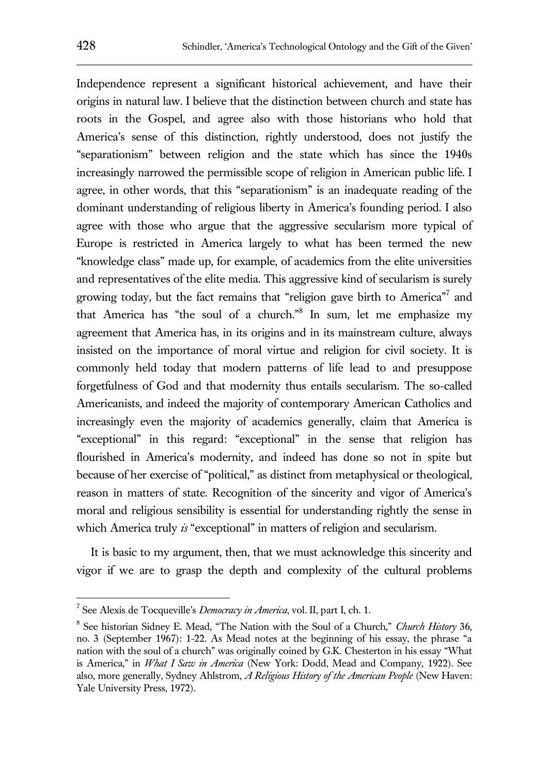Independence represent a significant historical achievement, and have their origins in natural law. I believe that the distinction between church and state has roots in the Gospel, and agree also with those historians who hold that America's sense of this distinction, rightly understood, does not justify the "separationism" between religion and the state which has since the 1940s increasingly narrowed the permissible scope of religion in American public life. I agree, in other words, that this "separationism" is an inadequate reading of the dominant understanding of religious liberty in America's founding period. I also agree with those who argue that the aggressive secularism more typical of Europe is restricted in America largely to what has been termed the new "knowledge class" made up, for example, of academics from the elite universities and representatives of the elite media. This aggressive kind of secularism is surely growing today, but the fact remains that "religion gave birth to America"<sup>7</sup> and that America has "the soul of a church."<sup>8</sup> In sum, let me emphasize my agreement that America has, in its origins and in its mainstream culture, always insisted on the importance of moral virtue and religion for civil society. It is commonly held today that modern patterns of life lead to and presuppose forgetfulness of God and that modernity thus entails secularism. The so-called Americanists, and indeed the majority of contemporary American Catholics and increasingly even the majority of academics generally, claim that America is "exceptional" in this regard: "exceptional" in the sense that religion has flourished in America's modernity, and indeed has done so not in spite but because of her exercise of "political," as distinct from metaphysical or theological, reason in matters of state. Recognition of the sincerity and vigor of America's moral and religious sensibility is essential for understanding rightly the sense in which America truly *is* "exceptional" in matters of religion and secularism.

It is basic to my argument, then, that we must acknowledge this sincerity and vigor if we are to grasp the depth and complexity of the cultural problems

<sup>7</sup> See Alexis de Tocqueville's *Democracy in America*, vol. II, part I, ch. 1.

<sup>8</sup> See historian Sidney E. Mead, "The Nation with the Soul of a Church," *Church History* 36, no. 3 (September 1967): 1-22. As Mead notes at the beginning of his essay, the phrase "a nation with the soul of a church" was originally coined by G.K. Chesterton in his essay "What is America," in *What I Saw in America* (New York: Dodd, Mead and Company, 1922). See also, more generally, Sydney Ahlstrom, *A Religious History of the American People* (New Haven: Yale University Press, 1972).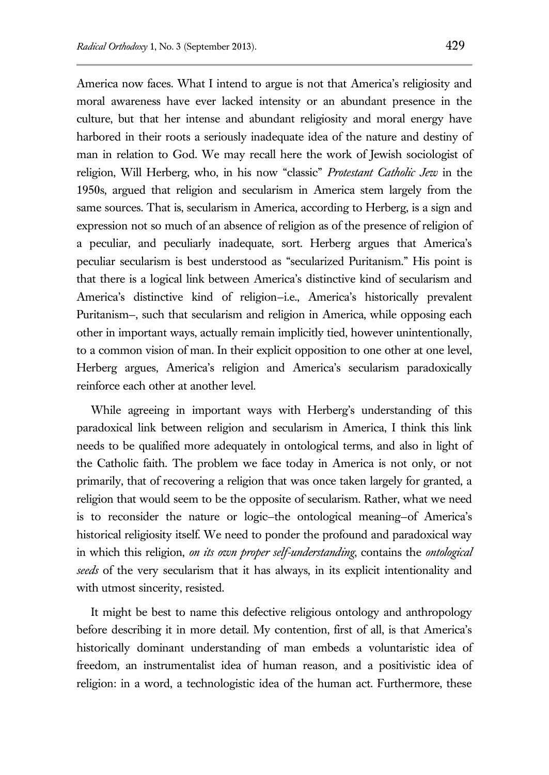America now faces. What I intend to argue is not that America's religiosity and moral awareness have ever lacked intensity or an abundant presence in the culture, but that her intense and abundant religiosity and moral energy have harbored in their roots a seriously inadequate idea of the nature and destiny of man in relation to God. We may recall here the work of Jewish sociologist of religion, Will Herberg, who, in his now "classic" *Protestant Catholic Jew* in the 1950s, argued that religion and secularism in America stem largely from the same sources. That is, secularism in America, according to Herberg, is a sign and expression not so much of an absence of religion as of the presence of religion of a peculiar, and peculiarly inadequate, sort. Herberg argues that America's peculiar secularism is best understood as "secularized Puritanism." His point is that there is a logical link between America's distinctive kind of secularism and America's distinctive kind of religion-i.e., America's historically prevalent Puritanism—, such that secularism and religion in America, while opposing each other in important ways, actually remain implicitly tied, however unintentionally, to a common vision of man. In their explicit opposition to one other at one level, Herberg argues, America's religion and America's secularism paradoxically reinforce each other at another level.

While agreeing in important ways with Herberg's understanding of this paradoxical link between religion and secularism in America, I think this link needs to be qualified more adequately in ontological terms, and also in light of the Catholic faith. The problem we face today in America is not only, or not primarily, that of recovering a religion that was once taken largely for granted, a religion that would seem to be the opposite of secularism. Rather, what we need is to reconsider the nature or logic—the ontological meaning—of America's historical religiosity itself. We need to ponder the profound and paradoxical way in which this religion, *on its own proper self-understanding*, contains the *ontological seeds* of the very secularism that it has always, in its explicit intentionality and with utmost sincerity, resisted.

It might be best to name this defective religious ontology and anthropology before describing it in more detail. My contention, first of all, is that America's historically dominant understanding of man embeds a voluntaristic idea of freedom, an instrumentalist idea of human reason, and a positivistic idea of religion: in a word, a technologistic idea of the human act. Furthermore, these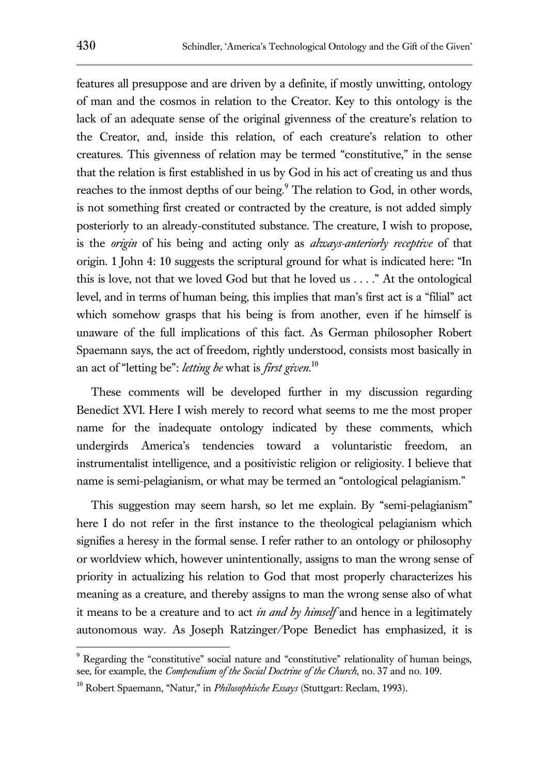features all presuppose and are driven by a definite, if mostly unwitting, ontology of man and the cosmos in relation to the Creator. Key to this ontology is the lack of an adequate sense of the original givenness of the creature's relation to the Creator, and, inside this relation, of each creature's relation to other creatures. This givenness of relation may be termed "constitutive," in the sense that the relation is first established in us by God in his act of creating us and thus reaches to the inmost depths of our being.<sup>9</sup> The relation to God, in other words, is not something first created or contracted by the creature, is not added simply posteriorly to an already-constituted substance. The creature, I wish to propose, is the *origin* of his being and acting only as *always-anteriorly receptive* of that origin. 1 John 4: 10 suggests the scriptural ground for what is indicated here: "In this is love, not that we loved God but that he loved us . . . ." At the ontological level, and in terms of human being, this implies that man's first act is a "filial" act which somehow grasps that his being is from another, even if he himself is unaware of the full implications of this fact. As German philosopher Robert Spaemann says, the act of freedom, rightly understood, consists most basically in an act of "letting be": *letting be* what is *first given*. 10

These comments will be developed further in my discussion regarding Benedict XVI. Here I wish merely to record what seems to me the most proper name for the inadequate ontology indicated by these comments, which undergirds America's tendencies toward a voluntaristic freedom, an instrumentalist intelligence, and a positivistic religion or religiosity. I believe that name is semi-pelagianism, or what may be termed an "ontological pelagianism."

This suggestion may seem harsh, so let me explain. By "semi-pelagianism" here I do not refer in the first instance to the theological pelagianism which signifies a heresy in the formal sense. I refer rather to an ontology or philosophy or worldview which, however unintentionally, assigns to man the wrong sense of priority in actualizing his relation to God that most properly characterizes his meaning as a creature, and thereby assigns to man the wrong sense also of what it means to be a creature and to act *in and by himself* and hence in a legitimately autonomous way. As Joseph Ratzinger/Pope Benedict has emphasized, it is

 $9$  Regarding the "constitutive" social nature and "constitutive" relationality of human beings, see, for example, the *Compendium of the Social Doctrine of the Church*, no. 37 and no. 109.

<sup>10</sup> Robert Spaemann, "Natur," in *Philosophische Essays* (Stuttgart: Reclam, 1993).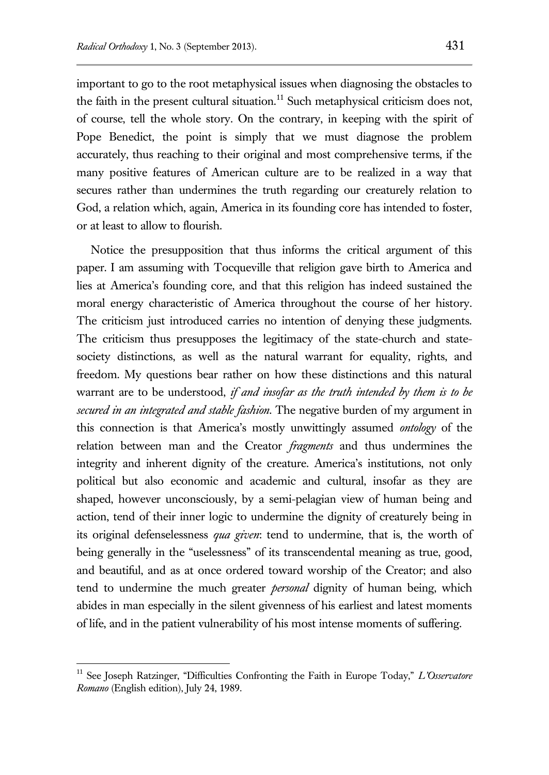important to go to the root metaphysical issues when diagnosing the obstacles to the faith in the present cultural situation.<sup>11</sup> Such metaphysical criticism does not, of course, tell the whole story. On the contrary, in keeping with the spirit of Pope Benedict, the point is simply that we must diagnose the problem accurately, thus reaching to their original and most comprehensive terms, if the many positive features of American culture are to be realized in a way that secures rather than undermines the truth regarding our creaturely relation to God, a relation which, again, America in its founding core has intended to foster, or at least to allow to flourish.

Notice the presupposition that thus informs the critical argument of this paper. I am assuming with Tocqueville that religion gave birth to America and lies at America's founding core, and that this religion has indeed sustained the moral energy characteristic of America throughout the course of her history. The criticism just introduced carries no intention of denying these judgments. The criticism thus presupposes the legitimacy of the state-church and statesociety distinctions, as well as the natural warrant for equality, rights, and freedom. My questions bear rather on how these distinctions and this natural warrant are to be understood, *if and insofar as the truth intended by them is to be secured in an integrated and stable fashion*. The negative burden of my argument in this connection is that America's mostly unwittingly assumed *ontology* of the relation between man and the Creator *fragments* and thus undermines the integrity and inherent dignity of the creature. America's institutions, not only political but also economic and academic and cultural, insofar as they are shaped, however unconsciously, by a semi-pelagian view of human being and action, tend of their inner logic to undermine the dignity of creaturely being in its original defenselessness *qua given*: tend to undermine, that is, the worth of being generally in the "uselessness" of its transcendental meaning as true, good, and beautiful, and as at once ordered toward worship of the Creator; and also tend to undermine the much greater *personal* dignity of human being, which abides in man especially in the silent givenness of his earliest and latest moments of life, and in the patient vulnerability of his most intense moments of suffering.

<sup>11</sup> See Joseph Ratzinger, "Difficulties Confronting the Faith in Europe Today," *L'Osservatore Romano* (English edition), July 24, 1989.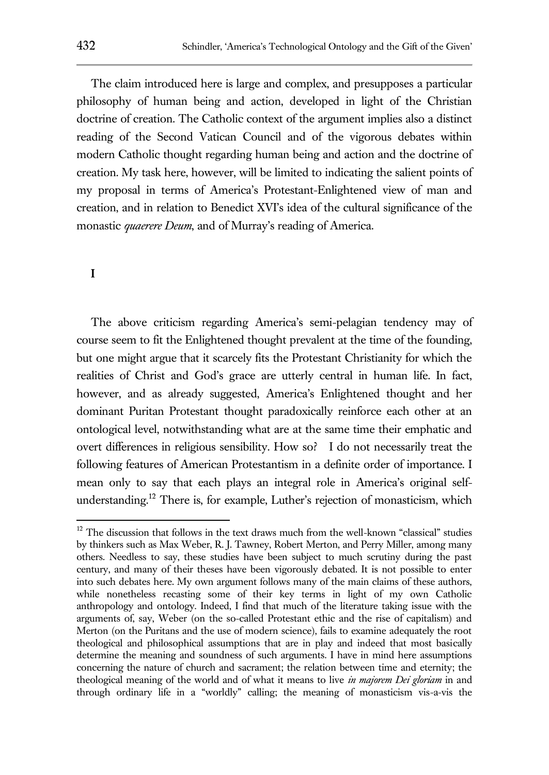The claim introduced here is large and complex, and presupposes a particular philosophy of human being and action, developed in light of the Christian doctrine of creation. The Catholic context of the argument implies also a distinct reading of the Second Vatican Council and of the vigorous debates within modern Catholic thought regarding human being and action and the doctrine of creation. My task here, however, will be limited to indicating the salient points of my proposal in terms of America's Protestant-Enlightened view of man and creation, and in relation to Benedict XVI's idea of the cultural significance of the monastic *quaerere Deum*, and of Murray's reading of America.

### **I**

 $\overline{a}$ 

The above criticism regarding America's semi-pelagian tendency may of course seem to fit the Enlightened thought prevalent at the time of the founding, but one might argue that it scarcely fits the Protestant Christianity for which the realities of Christ and God's grace are utterly central in human life. In fact, however, and as already suggested, America's Enlightened thought and her dominant Puritan Protestant thought paradoxically reinforce each other at an ontological level, notwithstanding what are at the same time their emphatic and overt differences in religious sensibility. How so? I do not necessarily treat the following features of American Protestantism in a definite order of importance. I mean only to say that each plays an integral role in America's original selfunderstanding.<sup>12</sup> There is, for example, Luther's rejection of monasticism, which

 $12$  The discussion that follows in the text draws much from the well-known "classical" studies by thinkers such as Max Weber, R. J. Tawney, Robert Merton, and Perry Miller, among many others. Needless to say, these studies have been subject to much scrutiny during the past century, and many of their theses have been vigorously debated. It is not possible to enter into such debates here. My own argument follows many of the main claims of these authors, while nonetheless recasting some of their key terms in light of my own Catholic anthropology and ontology. Indeed, I find that much of the literature taking issue with the arguments of, say, Weber (on the so-called Protestant ethic and the rise of capitalism) and Merton (on the Puritans and the use of modern science), fails to examine adequately the root theological and philosophical assumptions that are in play and indeed that most basically determine the meaning and soundness of such arguments. I have in mind here assumptions concerning the nature of church and sacrament; the relation between time and eternity; the theological meaning of the world and of what it means to live *in majorem Dei gloriam* in and through ordinary life in a "worldly" calling; the meaning of monasticism vis-a-vis the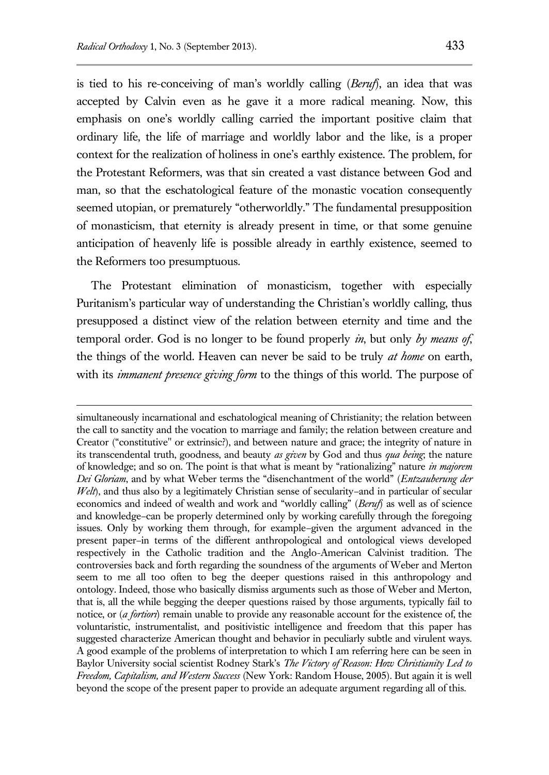$\overline{a}$ 

is tied to his re-conceiving of man's worldly calling (*Beruf*), an idea that was accepted by Calvin even as he gave it a more radical meaning. Now, this emphasis on one's worldly calling carried the important positive claim that ordinary life, the life of marriage and worldly labor and the like, is a proper context for the realization of holiness in one's earthly existence. The problem, for the Protestant Reformers, was that sin created a vast distance between God and man, so that the eschatological feature of the monastic vocation consequently seemed utopian, or prematurely "otherworldly." The fundamental presupposition of monasticism, that eternity is already present in time, or that some genuine anticipation of heavenly life is possible already in earthly existence, seemed to the Reformers too presumptuous.

The Protestant elimination of monasticism, together with especially Puritanism's particular way of understanding the Christian's worldly calling, thus presupposed a distinct view of the relation between eternity and time and the temporal order. God is no longer to be found properly *in*, but only *by means of*, the things of the world. Heaven can never be said to be truly *at home* on earth, with its *immanent presence giving form* to the things of this world. The purpose of

simultaneously incarnational and eschatological meaning of Christianity; the relation between the call to sanctity and the vocation to marriage and family; the relation between creature and Creator ("constitutive" or extrinsic?), and between nature and grace; the integrity of nature in its transcendental truth, goodness, and beauty *as given* by God and thus *qua being*; the nature of knowledge; and so on. The point is that what is meant by "rationalizing" nature *in majorem Dei Gloriam*, and by what Weber terms the "disenchantment of the world" (*Entzauberung der Welt*), and thus also by a legitimately Christian sense of secularity–and in particular of secular economics and indeed of wealth and work and "worldly calling" (*Beruf*) as well as of science and knowledge–can be properly determined only by working carefully through the foregoing issues. Only by working them through, for example–given the argument advanced in the present paper–in terms of the different anthropological and ontological views developed respectively in the Catholic tradition and the Anglo-American Calvinist tradition. The controversies back and forth regarding the soundness of the arguments of Weber and Merton seem to me all too often to beg the deeper questions raised in this anthropology and ontology. Indeed, those who basically dismiss arguments such as those of Weber and Merton, that is, all the while begging the deeper questions raised by those arguments, typically fail to notice, or (*a fortiori*) remain unable to provide any reasonable account for the existence of, the voluntaristic, instrumentalist, and positivistic intelligence and freedom that this paper has suggested characterize American thought and behavior in peculiarly subtle and virulent ways. A good example of the problems of interpretation to which I am referring here can be seen in Baylor University social scientist Rodney Stark's *The Victory of Reason: How Christianity Led to Freedom, Capitalism, and Western Success* (New York: Random House, 2005). But again it is well beyond the scope of the present paper to provide an adequate argument regarding all of this.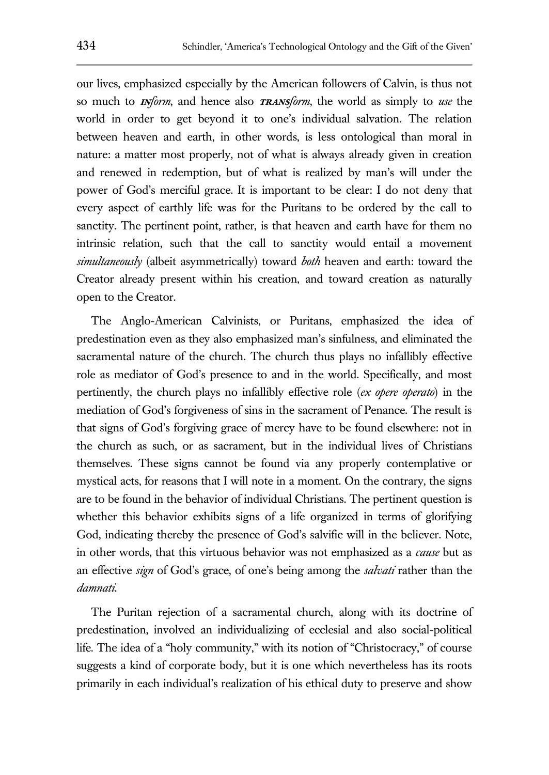our lives, emphasized especially by the American followers of Calvin, is thus not so much to **in***form*, and hence also **trans***form*, the world as simply to *use* the world in order to get beyond it to one's individual salvation. The relation between heaven and earth, in other words, is less ontological than moral in nature: a matter most properly, not of what is always already given in creation and renewed in redemption, but of what is realized by man's will under the power of God's merciful grace. It is important to be clear: I do not deny that every aspect of earthly life was for the Puritans to be ordered by the call to sanctity. The pertinent point, rather, is that heaven and earth have for them no intrinsic relation, such that the call to sanctity would entail a movement *simultaneously* (albeit asymmetrically) toward *both* heaven and earth: toward the Creator already present within his creation, and toward creation as naturally open to the Creator.

The Anglo-American Calvinists, or Puritans, emphasized the idea of predestination even as they also emphasized man's sinfulness, and eliminated the sacramental nature of the church. The church thus plays no infallibly effective role as mediator of God's presence to and in the world. Specifically, and most pertinently, the church plays no infallibly effective role (*ex opere operato*) in the mediation of God's forgiveness of sins in the sacrament of Penance. The result is that signs of God's forgiving grace of mercy have to be found elsewhere: not in the church as such, or as sacrament, but in the individual lives of Christians themselves. These signs cannot be found via any properly contemplative or mystical acts, for reasons that I will note in a moment. On the contrary, the signs are to be found in the behavior of individual Christians. The pertinent question is whether this behavior exhibits signs of a life organized in terms of glorifying God, indicating thereby the presence of God's salvific will in the believer. Note, in other words, that this virtuous behavior was not emphasized as a *cause* but as an effective *sign* of God's grace, of one's being among the *salvati* rather than the *damnati*.

The Puritan rejection of a sacramental church, along with its doctrine of predestination, involved an individualizing of ecclesial and also social-political life. The idea of a "holy community," with its notion of "Christocracy," of course suggests a kind of corporate body, but it is one which nevertheless has its roots primarily in each individual's realization of his ethical duty to preserve and show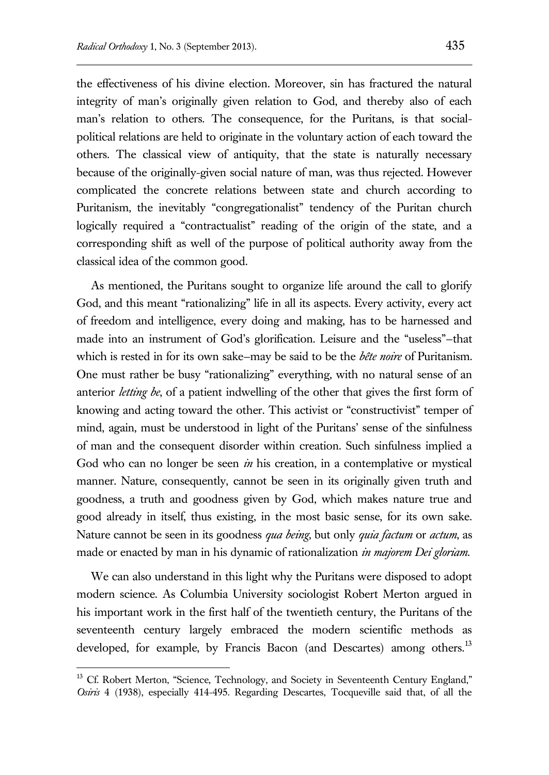the effectiveness of his divine election. Moreover, sin has fractured the natural integrity of man's originally given relation to God, and thereby also of each man's relation to others. The consequence, for the Puritans, is that socialpolitical relations are held to originate in the voluntary action of each toward the others. The classical view of antiquity, that the state is naturally necessary because of the originally-given social nature of man, was thus rejected. However complicated the concrete relations between state and church according to Puritanism, the inevitably "congregationalist" tendency of the Puritan church logically required a "contractualist" reading of the origin of the state, and a corresponding shift as well of the purpose of political authority away from the classical idea of the common good.

As mentioned, the Puritans sought to organize life around the call to glorify God, and this meant "rationalizing" life in all its aspects. Every activity, every act of freedom and intelligence, every doing and making, has to be harnessed and made into an instrument of God's glorification. Leisure and the "useless"—that which is rested in for its own sake—may be said to be the *bête noire* of Puritanism. One must rather be busy "rationalizing" everything, with no natural sense of an anterior *letting be*, of a patient indwelling of the other that gives the first form of knowing and acting toward the other. This activist or "constructivist" temper of mind, again, must be understood in light of the Puritans' sense of the sinfulness of man and the consequent disorder within creation. Such sinfulness implied a God who can no longer be seen *in* his creation, in a contemplative or mystical manner. Nature, consequently, cannot be seen in its originally given truth and goodness, a truth and goodness given by God, which makes nature true and good already in itself, thus existing, in the most basic sense, for its own sake. Nature cannot be seen in its goodness *qua being*, but only *quia factum* or *actum*, as made or enacted by man in his dynamic of rationalization *in majorem Dei gloriam*.

We can also understand in this light why the Puritans were disposed to adopt modern science. As Columbia University sociologist Robert Merton argued in his important work in the first half of the twentieth century, the Puritans of the seventeenth century largely embraced the modern scientific methods as developed, for example, by Francis Bacon (and Descartes) among others.<sup>13</sup>

<sup>&</sup>lt;sup>13</sup> Cf. Robert Merton, "Science, Technology, and Society in Seventeenth Century England," *Osiris* 4 (1938), especially 414-495. Regarding Descartes, Tocqueville said that, of all the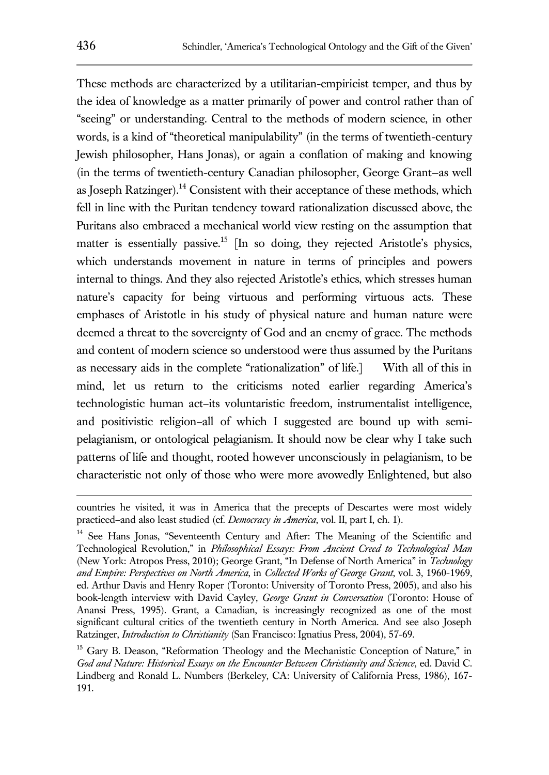These methods are characterized by a utilitarian-empiricist temper, and thus by the idea of knowledge as a matter primarily of power and control rather than of "seeing" or understanding. Central to the methods of modern science, in other words, is a kind of "theoretical manipulability" (in the terms of twentieth-century Jewish philosopher, Hans Jonas), or again a conflation of making and knowing (in the terms of twentieth-century Canadian philosopher, George Grant—as well as Joseph Ratzinger).<sup>14</sup> Consistent with their acceptance of these methods, which fell in line with the Puritan tendency toward rationalization discussed above, the Puritans also embraced a mechanical world view resting on the assumption that matter is essentially passive.<sup>15</sup> [In so doing, they rejected Aristotle's physics, which understands movement in nature in terms of principles and powers internal to things. And they also rejected Aristotle's ethics, which stresses human nature's capacity for being virtuous and performing virtuous acts. These emphases of Aristotle in his study of physical nature and human nature were deemed a threat to the sovereignty of God and an enemy of grace. The methods and content of modern science so understood were thus assumed by the Puritans as necessary aids in the complete "rationalization" of life.] With all of this in mind, let us return to the criticisms noted earlier regarding America's technologistic human act–its voluntaristic freedom, instrumentalist intelligence, and positivistic religion–all of which I suggested are bound up with semipelagianism, or ontological pelagianism. It should now be clear why I take such patterns of life and thought, rooted however unconsciously in pelagianism, to be characteristic not only of those who were more avowedly Enlightened, but also

countries he visited, it was in America that the precepts of Descartes were most widely practiced–and also least studied (cf*. Democracy in America*, vol. II, part I, ch. 1).

<sup>&</sup>lt;sup>14</sup> See Hans Jonas, "Seventeenth Century and After: The Meaning of the Scientific and Technological Revolution," in *Philosophical Essays: From Ancient Creed to Technological Man*  (New York: Atropos Press, 2010); George Grant, "In Defense of North America" in *Technology and Empire: Perspectives on North America*, in *Collected Works of George Grant*, vol. 3, 1960-1969, ed. Arthur Davis and Henry Roper (Toronto: University of Toronto Press, 2005), and also his book-length interview with David Cayley, *George Grant in Conversation* (Toronto: House of Anansi Press, 1995). Grant, a Canadian, is increasingly recognized as one of the most significant cultural critics of the twentieth century in North America. And see also Joseph Ratzinger, *Introduction to Christianity* (San Francisco: Ignatius Press, 2004), 57-69.

<sup>&</sup>lt;sup>15</sup> Gary B. Deason, "Reformation Theology and the Mechanistic Conception of Nature," in *God and Nature: Historical Essays on the Encounter Between Christianity and Science*, ed. David C. Lindberg and Ronald L. Numbers (Berkeley, CA: University of California Press, 1986), 167- 191.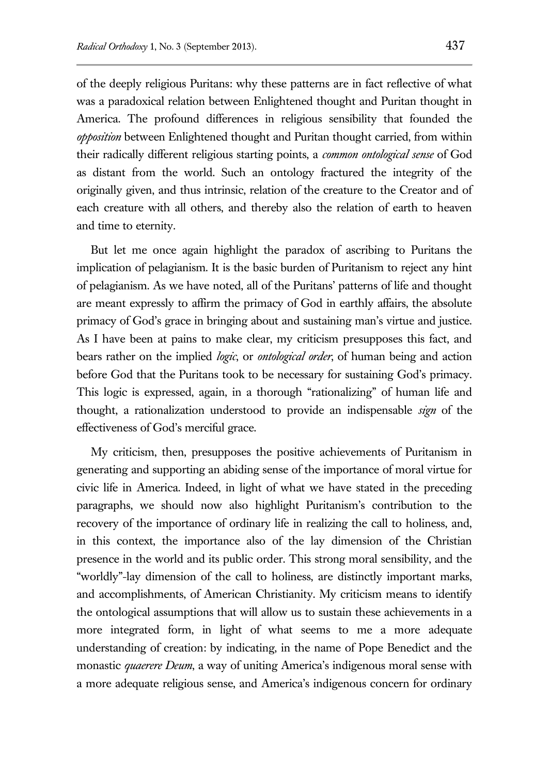of the deeply religious Puritans: why these patterns are in fact reflective of what was a paradoxical relation between Enlightened thought and Puritan thought in America. The profound differences in religious sensibility that founded the *opposition* between Enlightened thought and Puritan thought carried, from within their radically different religious starting points, a *common ontological sense* of God as distant from the world. Such an ontology fractured the integrity of the originally given, and thus intrinsic, relation of the creature to the Creator and of each creature with all others, and thereby also the relation of earth to heaven and time to eternity.

But let me once again highlight the paradox of ascribing to Puritans the implication of pelagianism. It is the basic burden of Puritanism to reject any hint of pelagianism. As we have noted, all of the Puritans' patterns of life and thought are meant expressly to affirm the primacy of God in earthly affairs, the absolute primacy of God's grace in bringing about and sustaining man's virtue and justice. As I have been at pains to make clear, my criticism presupposes this fact, and bears rather on the implied *logic*, or *ontological order*, of human being and action before God that the Puritans took to be necessary for sustaining God's primacy. This logic is expressed, again, in a thorough "rationalizing" of human life and thought, a rationalization understood to provide an indispensable *sign* of the effectiveness of God's merciful grace.

My criticism, then, presupposes the positive achievements of Puritanism in generating and supporting an abiding sense of the importance of moral virtue for civic life in America. Indeed, in light of what we have stated in the preceding paragraphs, we should now also highlight Puritanism's contribution to the recovery of the importance of ordinary life in realizing the call to holiness, and, in this context, the importance also of the lay dimension of the Christian presence in the world and its public order. This strong moral sensibility, and the "worldly"-lay dimension of the call to holiness, are distinctly important marks, and accomplishments, of American Christianity. My criticism means to identify the ontological assumptions that will allow us to sustain these achievements in a more integrated form, in light of what seems to me a more adequate understanding of creation: by indicating, in the name of Pope Benedict and the monastic *quaerere Deum*, a way of uniting America's indigenous moral sense with a more adequate religious sense, and America's indigenous concern for ordinary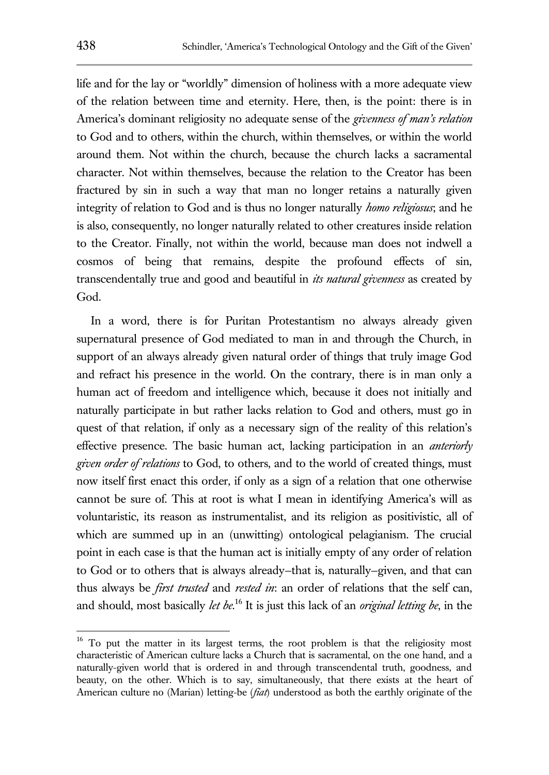life and for the lay or "worldly" dimension of holiness with a more adequate view of the relation between time and eternity. Here, then, is the point: there is in America's dominant religiosity no adequate sense of the *givenness of man's relation*  to God and to others, within the church, within themselves, or within the world around them. Not within the church, because the church lacks a sacramental character. Not within themselves, because the relation to the Creator has been fractured by sin in such a way that man no longer retains a naturally given integrity of relation to God and is thus no longer naturally *homo religiosus*; and he is also, consequently, no longer naturally related to other creatures inside relation to the Creator. Finally, not within the world, because man does not indwell a cosmos of being that remains, despite the profound effects of sin, transcendentally true and good and beautiful in *its natural givenness* as created by God.

In a word, there is for Puritan Protestantism no always already given supernatural presence of God mediated to man in and through the Church, in support of an always already given natural order of things that truly image God and refract his presence in the world. On the contrary, there is in man only a human act of freedom and intelligence which, because it does not initially and naturally participate in but rather lacks relation to God and others, must go in quest of that relation, if only as a necessary sign of the reality of this relation's effective presence. The basic human act, lacking participation in an *anteriorly given order of relations* to God, to others, and to the world of created things, must now itself first enact this order, if only as a sign of a relation that one otherwise cannot be sure of. This at root is what I mean in identifying America's will as voluntaristic, its reason as instrumentalist, and its religion as positivistic, all of which are summed up in an (unwitting) ontological pelagianism. The crucial point in each case is that the human act is initially empty of any order of relation to God or to others that is always already—that is, naturally—given, and that can thus always be *first trusted* and *rested in*: an order of relations that the self can, and should, most basically *let be.*<sup>16</sup> It is just this lack of an *original letting be*, in the

<sup>&</sup>lt;sup>16</sup> To put the matter in its largest terms, the root problem is that the religiosity most characteristic of American culture lacks a Church that is sacramental, on the one hand, and a naturally-given world that is ordered in and through transcendental truth, goodness, and beauty, on the other. Which is to say, simultaneously, that there exists at the heart of American culture no (Marian) letting-be (*fiat*) understood as both the earthly originate of the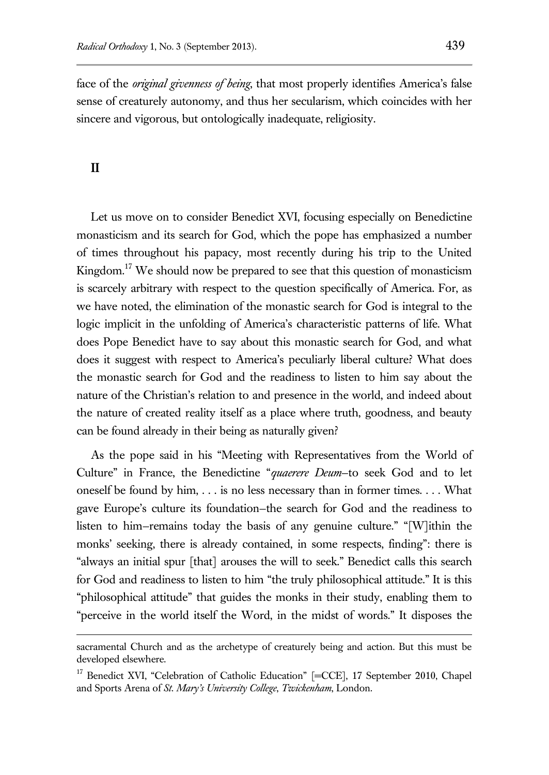face of the *original givenness of being*, that most properly identifies America's false sense of creaturely autonomy, and thus her secularism, which coincides with her sincere and vigorous, but ontologically inadequate, religiosity.

#### **II**

 $\overline{a}$ 

Let us move on to consider Benedict XVI, focusing especially on Benedictine monasticism and its search for God, which the pope has emphasized a number of times throughout his papacy, most recently during his trip to the United Kingdom.<sup>17</sup> We should now be prepared to see that this question of monasticism is scarcely arbitrary with respect to the question specifically of America. For, as we have noted, the elimination of the monastic search for God is integral to the logic implicit in the unfolding of America's characteristic patterns of life. What does Pope Benedict have to say about this monastic search for God, and what does it suggest with respect to America's peculiarly liberal culture? What does the monastic search for God and the readiness to listen to him say about the nature of the Christian's relation to and presence in the world, and indeed about the nature of created reality itself as a place where truth, goodness, and beauty can be found already in their being as naturally given?

As the pope said in his "Meeting with Representatives from the World of Culture" in France, the Benedictine "*quaerere Deum*—to seek God and to let oneself be found by him, . . . is no less necessary than in former times. . . . What gave Europe's culture its foundation—the search for God and the readiness to listen to him—remains today the basis of any genuine culture." "[W]ithin the monks' seeking, there is already contained, in some respects, finding": there is "always an initial spur [that] arouses the will to seek." Benedict calls this search for God and readiness to listen to him "the truly philosophical attitude." It is this "philosophical attitude" that guides the monks in their study, enabling them to "perceive in the world itself the Word, in the midst of words." It disposes the

sacramental Church and as the archetype of creaturely being and action. But this must be developed elsewhere.

<sup>&</sup>lt;sup>17</sup> Benedict XVI, "Celebration of Catholic Education" [=CCE], 17 September 2010, Chapel and Sports Arena of *St. Mary's University College*, *Twickenham*, London.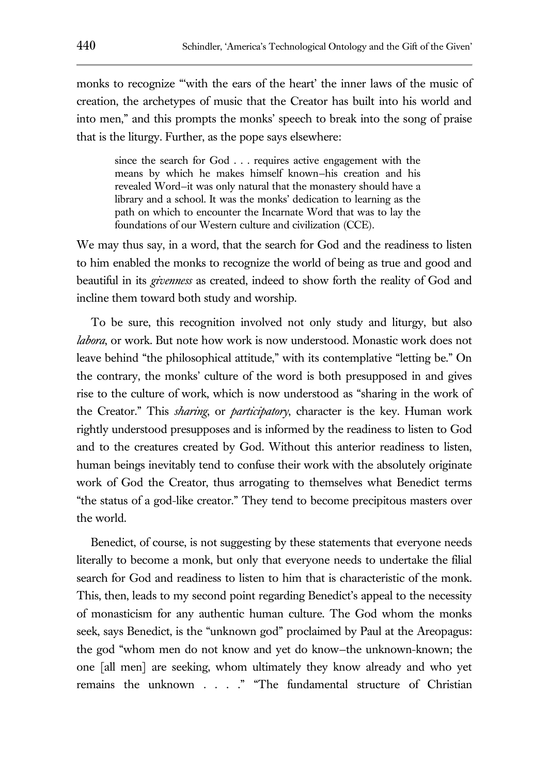monks to recognize "'with the ears of the heart' the inner laws of the music of creation, the archetypes of music that the Creator has built into his world and into men," and this prompts the monks' speech to break into the song of praise that is the liturgy. Further, as the pope says elsewhere:

since the search for God . . . requires active engagement with the means by which he makes himself known—his creation and his revealed Word—it was only natural that the monastery should have a library and a school. It was the monks' dedication to learning as the path on which to encounter the Incarnate Word that was to lay the foundations of our Western culture and civilization (CCE).

We may thus say, in a word, that the search for God and the readiness to listen to him enabled the monks to recognize the world of being as true and good and beautiful in its *givenness* as created, indeed to show forth the reality of God and incline them toward both study and worship.

To be sure, this recognition involved not only study and liturgy, but also *labora*, or work. But note how work is now understood. Monastic work does not leave behind "the philosophical attitude," with its contemplative "letting be." On the contrary, the monks' culture of the word is both presupposed in and gives rise to the culture of work, which is now understood as "sharing in the work of the Creator." This *sharing*, or *participatory*, character is the key. Human work rightly understood presupposes and is informed by the readiness to listen to God and to the creatures created by God. Without this anterior readiness to listen, human beings inevitably tend to confuse their work with the absolutely originate work of God the Creator, thus arrogating to themselves what Benedict terms "the status of a god-like creator." They tend to become precipitous masters over the world.

Benedict, of course, is not suggesting by these statements that everyone needs literally to become a monk, but only that everyone needs to undertake the filial search for God and readiness to listen to him that is characteristic of the monk. This, then, leads to my second point regarding Benedict's appeal to the necessity of monasticism for any authentic human culture. The God whom the monks seek, says Benedict, is the "unknown god" proclaimed by Paul at the Areopagus: the god "whom men do not know and yet do know—the unknown-known; the one [all men] are seeking, whom ultimately they know already and who yet remains the unknown . . . ." "The fundamental structure of Christian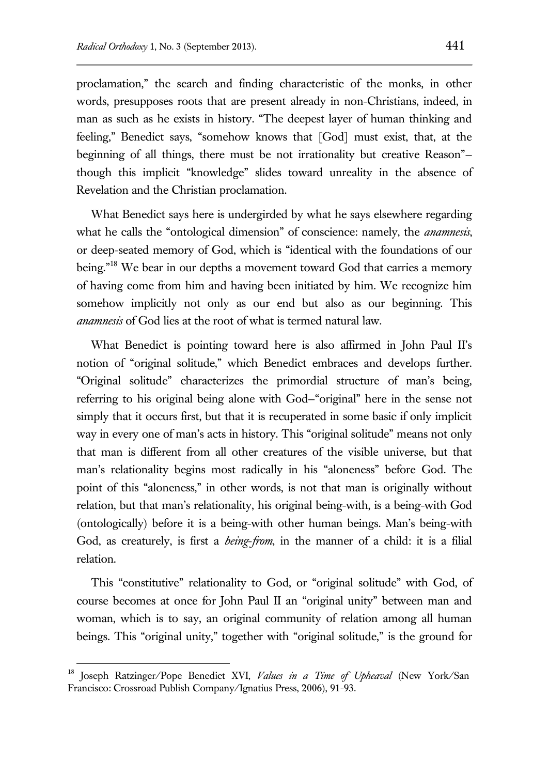proclamation," the search and finding characteristic of the monks, in other words, presupposes roots that are present already in non-Christians, indeed, in man as such as he exists in history. "The deepest layer of human thinking and feeling," Benedict says, "somehow knows that [God] must exist, that, at the beginning of all things, there must be not irrationality but creative Reason" though this implicit "knowledge" slides toward unreality in the absence of Revelation and the Christian proclamation.

What Benedict says here is undergirded by what he says elsewhere regarding what he calls the "ontological dimension" of conscience: namely, the *anamnesis*, or deep-seated memory of God, which is "identical with the foundations of our being."<sup>18</sup> We bear in our depths a movement toward God that carries a memory of having come from him and having been initiated by him. We recognize him somehow implicitly not only as our end but also as our beginning. This *anamnesis* of God lies at the root of what is termed natural law.

What Benedict is pointing toward here is also affirmed in John Paul II's notion of "original solitude," which Benedict embraces and develops further. "Original solitude" characterizes the primordial structure of man's being, referring to his original being alone with God—"original" here in the sense not simply that it occurs first, but that it is recuperated in some basic if only implicit way in every one of man's acts in history. This "original solitude" means not only that man is different from all other creatures of the visible universe, but that man's relationality begins most radically in his "aloneness" before God. The point of this "aloneness," in other words, is not that man is originally without relation, but that man's relationality, his original being-with, is a being-with God (ontologically) before it is a being-with other human beings. Man's being-with God, as creaturely, is first a *being*-*from*, in the manner of a child: it is a filial relation.

This "constitutive" relationality to God, or "original solitude" with God, of course becomes at once for John Paul II an "original unity" between man and woman, which is to say, an original community of relation among all human beings. This "original unity," together with "original solitude," is the ground for

<sup>18</sup> Joseph Ratzinger/Pope Benedict XVI, *Values in a Time of Upheaval* (New York/San Francisco: Crossroad Publish Company/Ignatius Press, 2006), 91-93.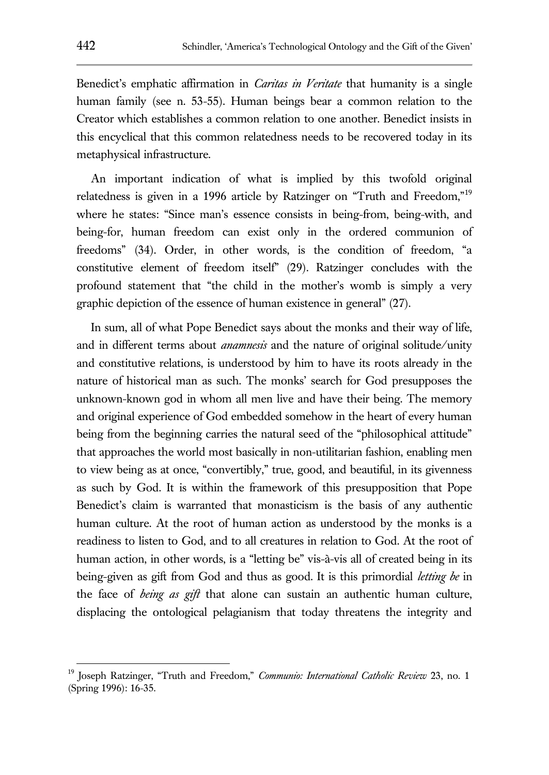Benedict's emphatic affirmation in *Caritas in Veritate* that humanity is a single human family (see n. 53-55). Human beings bear a common relation to the Creator which establishes a common relation to one another. Benedict insists in this encyclical that this common relatedness needs to be recovered today in its metaphysical infrastructure.

An important indication of what is implied by this twofold original relatedness is given in a 1996 article by Ratzinger on "Truth and Freedom,"<sup>19</sup> where he states: "Since man's essence consists in being-from, being-with, and being-for, human freedom can exist only in the ordered communion of freedoms" (34). Order, in other words, is the condition of freedom, "a constitutive element of freedom itself" (29). Ratzinger concludes with the profound statement that "the child in the mother's womb is simply a very graphic depiction of the essence of human existence in general" (27).

In sum, all of what Pope Benedict says about the monks and their way of life, and in different terms about *anamnesis* and the nature of original solitude/unity and constitutive relations, is understood by him to have its roots already in the nature of historical man as such. The monks' search for God presupposes the unknown-known god in whom all men live and have their being. The memory and original experience of God embedded somehow in the heart of every human being from the beginning carries the natural seed of the "philosophical attitude" that approaches the world most basically in non-utilitarian fashion, enabling men to view being as at once, "convertibly," true, good, and beautiful, in its givenness as such by God. It is within the framework of this presupposition that Pope Benedict's claim is warranted that monasticism is the basis of any authentic human culture. At the root of human action as understood by the monks is a readiness to listen to God, and to all creatures in relation to God. At the root of human action, in other words, is a "letting be" vis-à-vis all of created being in its being-given as gift from God and thus as good. It is this primordial *letting be* in the face of *being as gift* that alone can sustain an authentic human culture, displacing the ontological pelagianism that today threatens the integrity and

<sup>19</sup> Joseph Ratzinger, "Truth and Freedom," *Communio: International Catholic Review* 23, no. 1 (Spring 1996): 16-35.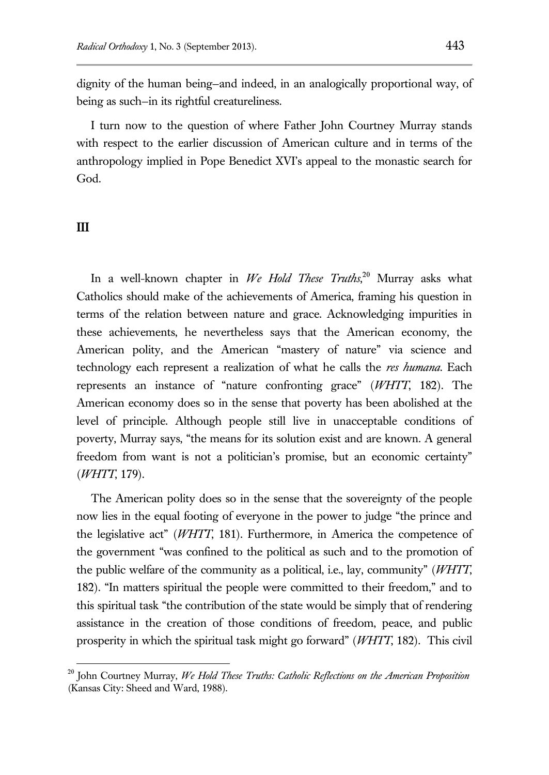dignity of the human being—and indeed, in an analogically proportional way, of being as such—in its rightful creatureliness.

I turn now to the question of where Father John Courtney Murray stands with respect to the earlier discussion of American culture and in terms of the anthropology implied in Pope Benedict XVI's appeal to the monastic search for God.

#### **III**

 $\overline{a}$ 

In a well-known chapter in *We Hold These Truths*, <sup>20</sup> Murray asks what Catholics should make of the achievements of America, framing his question in terms of the relation between nature and grace. Acknowledging impurities in these achievements, he nevertheless says that the American economy, the American polity, and the American "mastery of nature" via science and technology each represent a realization of what he calls the *res humana*. Each represents an instance of "nature confronting grace" (*WHTT*, 182). The American economy does so in the sense that poverty has been abolished at the level of principle. Although people still live in unacceptable conditions of poverty, Murray says, "the means for its solution exist and are known. A general freedom from want is not a politician's promise, but an economic certainty" (*WHTT*, 179).

The American polity does so in the sense that the sovereignty of the people now lies in the equal footing of everyone in the power to judge "the prince and the legislative act" (*WHTT*, 181). Furthermore, in America the competence of the government "was confined to the political as such and to the promotion of the public welfare of the community as a political, i.e., lay, community" (*WHTT*, 182). "In matters spiritual the people were committed to their freedom," and to this spiritual task "the contribution of the state would be simply that of rendering assistance in the creation of those conditions of freedom, peace, and public prosperity in which the spiritual task might go forward" (*WHTT*, 182). This civil

<sup>20</sup> John Courtney Murray, *We Hold These Truths: Catholic Reflections on the American Proposition* (Kansas City: Sheed and Ward, 1988).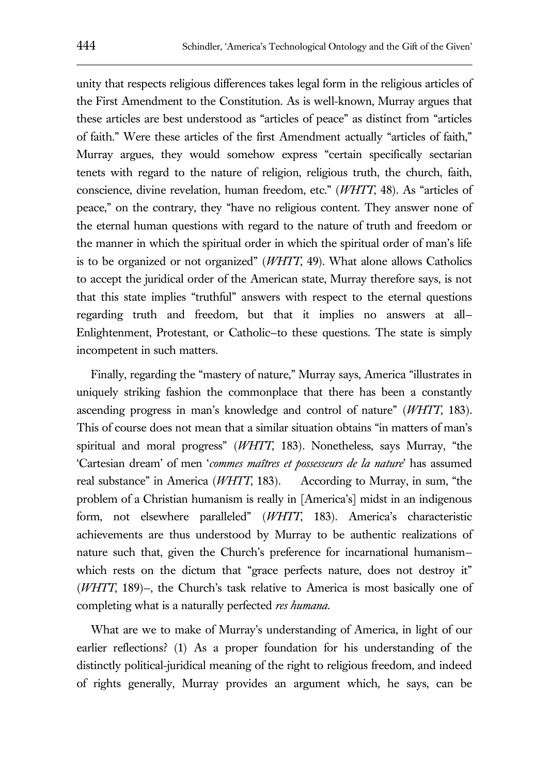unity that respects religious differences takes legal form in the religious articles of the First Amendment to the Constitution. As is well-known, Murray argues that these articles are best understood as "articles of peace" as distinct from "articles of faith." Were these articles of the first Amendment actually "articles of faith," Murray argues, they would somehow express "certain specifically sectarian tenets with regard to the nature of religion, religious truth, the church, faith, conscience, divine revelation, human freedom, etc." (*WHTT*, 48). As "articles of peace," on the contrary, they "have no religious content. They answer none of the eternal human questions with regard to the nature of truth and freedom or the manner in which the spiritual order in which the spiritual order of man's life is to be organized or not organized" (*WHTT*, 49). What alone allows Catholics to accept the juridical order of the American state, Murray therefore says, is not that this state implies "truthful" answers with respect to the eternal questions regarding truth and freedom, but that it implies no answers at all— Enlightenment, Protestant, or Catholic—to these questions. The state is simply incompetent in such matters.

Finally, regarding the "mastery of nature," Murray says, America "illustrates in uniquely striking fashion the commonplace that there has been a constantly ascending progress in man's knowledge and control of nature" (*WHTT*, 183). This of course does not mean that a similar situation obtains "in matters of man's spiritual and moral progress" (*WHTT*, 183). Nonetheless, says Murray, "the 'Cartesian dream' of men '*commes maîtres et possesseurs de la nature*' has assumed real substance" in America (*WHTT*, 183). According to Murray, in sum, "the problem of a Christian humanism is really in [America's] midst in an indigenous form, not elsewhere paralleled" (*WHTT*, 183). America's characteristic achievements are thus understood by Murray to be authentic realizations of nature such that, given the Church's preference for incarnational humanism which rests on the dictum that "grace perfects nature, does not destroy it" (*WHTT*, 189)—, the Church's task relative to America is most basically one of completing what is a naturally perfected *res humana*.

What are we to make of Murray's understanding of America, in light of our earlier reflections? (1) As a proper foundation for his understanding of the distinctly political-juridical meaning of the right to religious freedom, and indeed of rights generally, Murray provides an argument which, he says, can be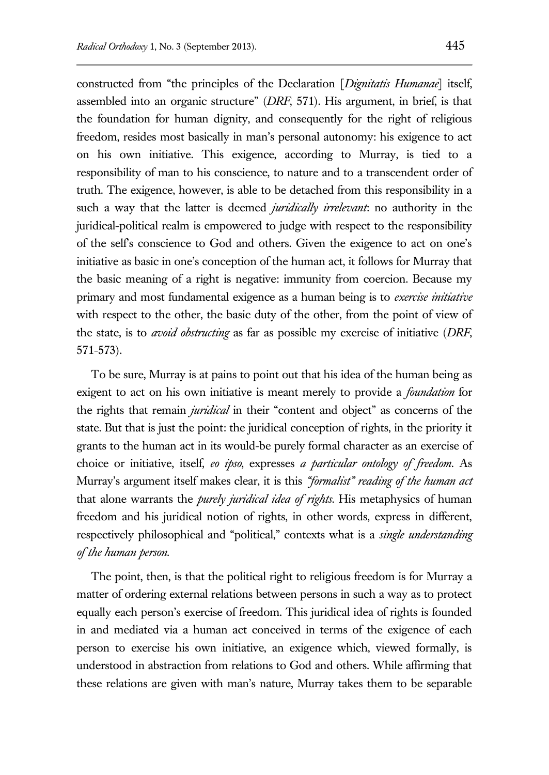constructed from "the principles of the Declaration [*Dignitatis Humanae*] itself, assembled into an organic structure" (*DRF*, 571). His argument, in brief, is that the foundation for human dignity, and consequently for the right of religious freedom, resides most basically in man's personal autonomy: his exigence to act on his own initiative. This exigence, according to Murray, is tied to a responsibility of man to his conscience, to nature and to a transcendent order of truth. The exigence, however, is able to be detached from this responsibility in a such a way that the latter is deemed *juridically irrelevant*: no authority in the juridical-political realm is empowered to judge with respect to the responsibility of the self's conscience to God and others. Given the exigence to act on one's initiative as basic in one's conception of the human act, it follows for Murray that the basic meaning of a right is negative: immunity from coercion. Because my primary and most fundamental exigence as a human being is to *exercise initiative* with respect to the other, the basic duty of the other, from the point of view of the state, is to *avoid obstructing* as far as possible my exercise of initiative (*DRF*, 571-573).

To be sure, Murray is at pains to point out that his idea of the human being as exigent to act on his own initiative is meant merely to provide a *foundation* for the rights that remain *juridical* in their "content and object" as concerns of the state. But that is just the point: the juridical conception of rights, in the priority it grants to the human act in its would-be purely formal character as an exercise of choice or initiative, itself, *eo ipso*, expresses *a particular ontology of freedom*. As Murray's argument itself makes clear, it is this *"formalist" reading of the human act*  that alone warrants the *purely juridical idea of rights*. His metaphysics of human freedom and his juridical notion of rights, in other words, express in different, respectively philosophical and "political," contexts what is a *single understanding of the human person*.

The point, then, is that the political right to religious freedom is for Murray a matter of ordering external relations between persons in such a way as to protect equally each person's exercise of freedom. This juridical idea of rights is founded in and mediated via a human act conceived in terms of the exigence of each person to exercise his own initiative, an exigence which, viewed formally, is understood in abstraction from relations to God and others. While affirming that these relations are given with man's nature, Murray takes them to be separable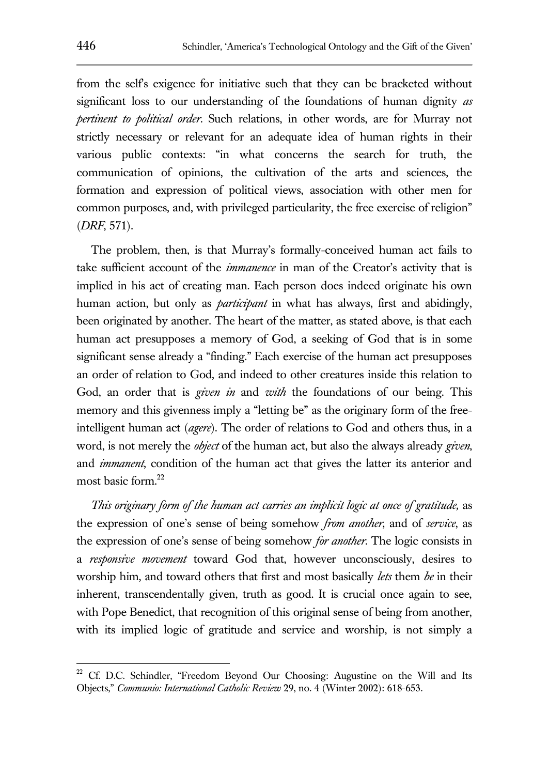from the self's exigence for initiative such that they can be bracketed without significant loss to our understanding of the foundations of human dignity *as pertinent to political order*. Such relations, in other words, are for Murray not strictly necessary or relevant for an adequate idea of human rights in their various public contexts: "in what concerns the search for truth, the communication of opinions, the cultivation of the arts and sciences, the formation and expression of political views, association with other men for common purposes, and, with privileged particularity, the free exercise of religion" (*DRF*, 571).

The problem, then, is that Murray's formally-conceived human act fails to take sufficient account of the *immanence* in man of the Creator's activity that is implied in his act of creating man. Each person does indeed originate his own human action, but only as *participant* in what has always, first and abidingly, been originated by another. The heart of the matter, as stated above, is that each human act presupposes a memory of God, a seeking of God that is in some significant sense already a "finding." Each exercise of the human act presupposes an order of relation to God, and indeed to other creatures inside this relation to God, an order that is *given in* and *with* the foundations of our being. This memory and this givenness imply a "letting be" as the originary form of the freeintelligent human act (*agere*). The order of relations to God and others thus, in a word, is not merely the *object* of the human act, but also the always already *given*, and *immanent*, condition of the human act that gives the latter its anterior and most basic form.<sup>22</sup>

*This originary form of the human act carries an implicit logic at once of gratitude,* as the expression of one's sense of being somehow *from another*, and of *service*, as the expression of one's sense of being somehow *for another*. The logic consists in a *responsive movement* toward God that, however unconsciously, desires to worship him, and toward others that first and most basically *lets* them *be* in their inherent, transcendentally given, truth as good. It is crucial once again to see, with Pope Benedict, that recognition of this original sense of being from another, with its implied logic of gratitude and service and worship, is not simply a

<sup>&</sup>lt;sup>22</sup> Cf. D.C. Schindler, "Freedom Beyond Our Choosing: Augustine on the Will and Its Objects," *Communio: International Catholic Review* 29, no. 4 (Winter 2002): 618-653.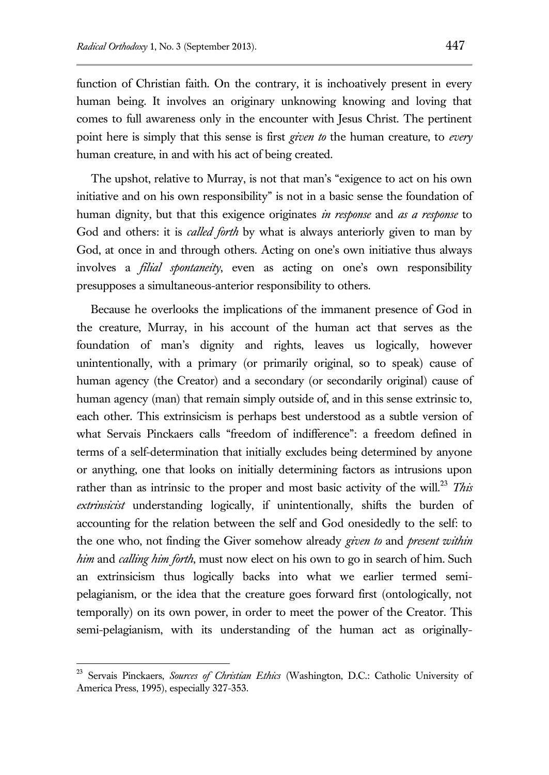function of Christian faith. On the contrary, it is inchoatively present in every human being. It involves an originary unknowing knowing and loving that comes to full awareness only in the encounter with Jesus Christ. The pertinent point here is simply that this sense is first *given to* the human creature, to *every* human creature, in and with his act of being created.

The upshot, relative to Murray, is not that man's "exigence to act on his own initiative and on his own responsibility" is not in a basic sense the foundation of human dignity, but that this exigence originates *in response* and *as a response* to God and others: it is *called forth* by what is always anteriorly given to man by God, at once in and through others. Acting on one's own initiative thus always involves a *filial spontaneity*, even as acting on one's own responsibility presupposes a simultaneous-anterior responsibility to others.

Because he overlooks the implications of the immanent presence of God in the creature, Murray, in his account of the human act that serves as the foundation of man's dignity and rights, leaves us logically, however unintentionally, with a primary (or primarily original, so to speak) cause of human agency (the Creator) and a secondary (or secondarily original) cause of human agency (man) that remain simply outside of, and in this sense extrinsic to, each other. This extrinsicism is perhaps best understood as a subtle version of what Servais Pinckaers calls "freedom of indifference": a freedom defined in terms of a self-determination that initially excludes being determined by anyone or anything, one that looks on initially determining factors as intrusions upon rather than as intrinsic to the proper and most basic activity of the will.<sup>23</sup> *This extrinsicist* understanding logically, if unintentionally, shifts the burden of accounting for the relation between the self and God onesidedly to the self: to the one who, not finding the Giver somehow already *given to* and *present within him* and *calling him forth*, must now elect on his own to go in search of him. Such an extrinsicism thus logically backs into what we earlier termed semipelagianism, or the idea that the creature goes forward first (ontologically, not temporally) on its own power, in order to meet the power of the Creator. This semi-pelagianism, with its understanding of the human act as originally-

<sup>23</sup> Servais Pinckaers, *Sources of Christian Ethics* (Washington, D.C.: Catholic University of America Press, 1995), especially 327-353.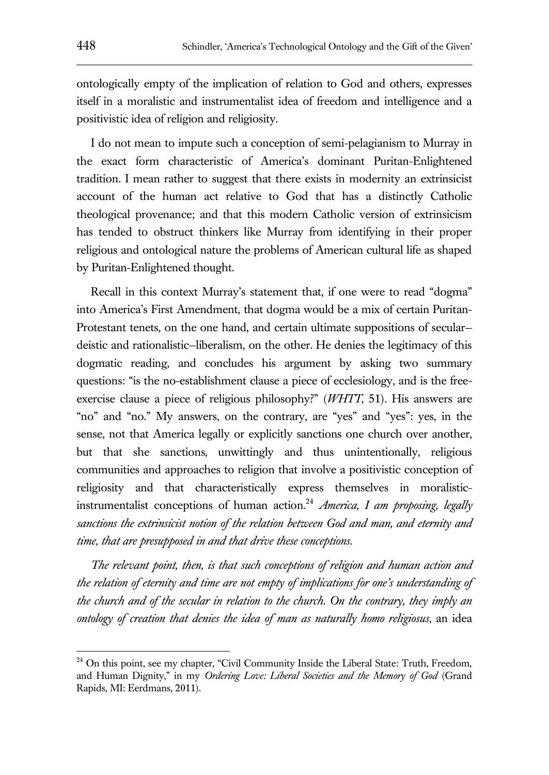ontologically empty of the implication of relation to God and others, expresses itself in a moralistic and instrumentalist idea of freedom and intelligence and a positivistic idea of religion and religiosity.

I do not mean to impute such a conception of semi-pelagianism to Murray in the exact form characteristic of America's dominant Puritan-Enlightened tradition. I mean rather to suggest that there exists in modernity an extrinsicist account of the human act relative to God that has a distinctly Catholic theological provenance; and that this modern Catholic version of extrinsicism has tended to obstruct thinkers like Murray from identifying in their proper religious and ontological nature the problems of American cultural life as shaped by Puritan-Enlightened thought.

Recall in this context Murray's statement that, if one were to read "dogma" into America's First Amendment, that dogma would be a mix of certain Puritan-Protestant tenets, on the one hand, and certain ultimate suppositions of secular deistic and rationalistic—liberalism, on the other. He denies the legitimacy of this dogmatic reading, and concludes his argument by asking two summary questions: "is the no-establishment clause a piece of ecclesiology, and is the freeexercise clause a piece of religious philosophy?" (*WHTT*, 51). His answers are "no" and "no." My answers, on the contrary, are "yes" and "yes": yes, in the sense, not that America legally or explicitly sanctions one church over another, but that she sanctions, unwittingly and thus unintentionally, religious communities and approaches to religion that involve a positivistic conception of religiosity and that characteristically express themselves in moralisticinstrumentalist conceptions of human action.<sup>24</sup> *America, I am proposing, legally sanctions the extrinsicist notion of the relation between God and man, and eternity and time, that are presupposed in and that drive these conceptions.*

*The relevant point, then, is that such conceptions of religion and human action and the relation of eternity and time are not empty of implications for one's understanding of the church and of the secular in relation to the church. On the contrary, they imply an ontology of creation that denies the idea of man as naturally homo religiosus*, an idea

 $24$  On this point, see my chapter, "Civil Community Inside the Liberal State: Truth, Freedom, and Human Dignity," in my *Ordering Love: Liberal Societies and the Memory of God* (Grand Rapids, MI: Eerdmans, 2011).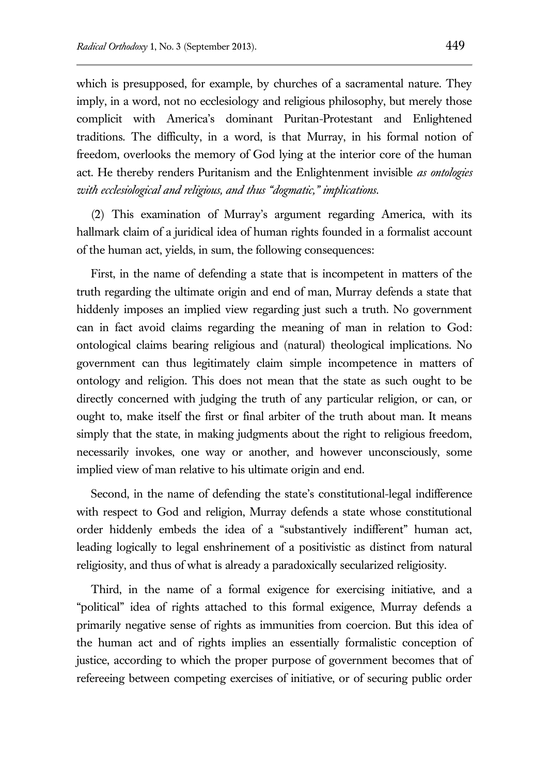which is presupposed, for example, by churches of a sacramental nature. They imply, in a word, not no ecclesiology and religious philosophy, but merely those complicit with America's dominant Puritan-Protestant and Enlightened traditions. The difficulty, in a word, is that Murray, in his formal notion of freedom, overlooks the memory of God lying at the interior core of the human act. He thereby renders Puritanism and the Enlightenment invisible *as ontologies with ecclesiological and religious, and thus "dogmatic," implications*.

(2) This examination of Murray's argument regarding America, with its hallmark claim of a juridical idea of human rights founded in a formalist account of the human act, yields, in sum, the following consequences:

First, in the name of defending a state that is incompetent in matters of the truth regarding the ultimate origin and end of man, Murray defends a state that hiddenly imposes an implied view regarding just such a truth. No government can in fact avoid claims regarding the meaning of man in relation to God: ontological claims bearing religious and (natural) theological implications. No government can thus legitimately claim simple incompetence in matters of ontology and religion. This does not mean that the state as such ought to be directly concerned with judging the truth of any particular religion, or can, or ought to, make itself the first or final arbiter of the truth about man. It means simply that the state, in making judgments about the right to religious freedom, necessarily invokes, one way or another, and however unconsciously, some implied view of man relative to his ultimate origin and end.

Second, in the name of defending the state's constitutional-legal indifference with respect to God and religion, Murray defends a state whose constitutional order hiddenly embeds the idea of a "substantively indifferent" human act, leading logically to legal enshrinement of a positivistic as distinct from natural religiosity, and thus of what is already a paradoxically secularized religiosity.

Third, in the name of a formal exigence for exercising initiative, and a "political" idea of rights attached to this formal exigence, Murray defends a primarily negative sense of rights as immunities from coercion. But this idea of the human act and of rights implies an essentially formalistic conception of justice, according to which the proper purpose of government becomes that of refereeing between competing exercises of initiative, or of securing public order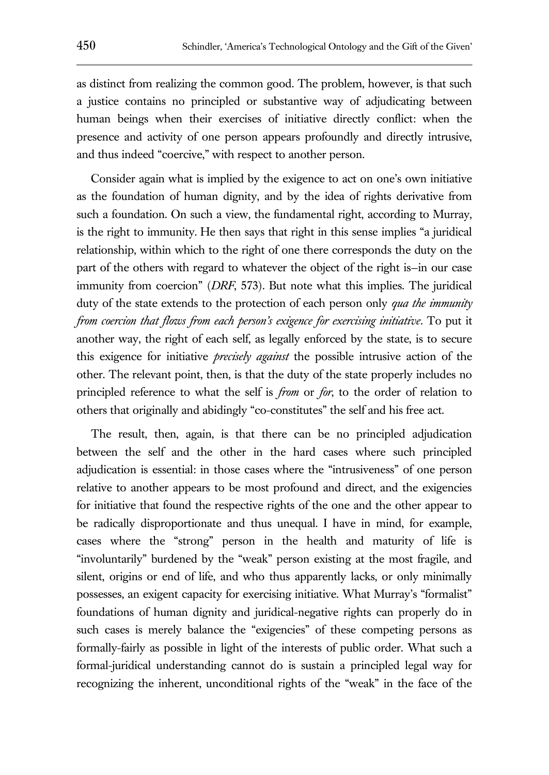as distinct from realizing the common good. The problem, however, is that such a justice contains no principled or substantive way of adjudicating between human beings when their exercises of initiative directly conflict: when the presence and activity of one person appears profoundly and directly intrusive, and thus indeed "coercive," with respect to another person.

Consider again what is implied by the exigence to act on one's own initiative as the foundation of human dignity, and by the idea of rights derivative from such a foundation. On such a view, the fundamental right, according to Murray, is the right to immunity. He then says that right in this sense implies "a juridical relationship, within which to the right of one there corresponds the duty on the part of the others with regard to whatever the object of the right is—in our case immunity from coercion" (*DRF*, 573). But note what this implies. The juridical duty of the state extends to the protection of each person only *qua the immunity from coercion that flows from each person's exigence for exercising initiative*. To put it another way, the right of each self, as legally enforced by the state, is to secure this exigence for initiative *precisely against* the possible intrusive action of the other. The relevant point, then, is that the duty of the state properly includes no principled reference to what the self is *from* or *for*, to the order of relation to others that originally and abidingly "co-constitutes" the self and his free act.

The result, then, again, is that there can be no principled adjudication between the self and the other in the hard cases where such principled adjudication is essential: in those cases where the "intrusiveness" of one person relative to another appears to be most profound and direct, and the exigencies for initiative that found the respective rights of the one and the other appear to be radically disproportionate and thus unequal. I have in mind, for example, cases where the "strong" person in the health and maturity of life is "involuntarily" burdened by the "weak" person existing at the most fragile, and silent, origins or end of life, and who thus apparently lacks, or only minimally possesses, an exigent capacity for exercising initiative. What Murray's "formalist" foundations of human dignity and juridical-negative rights can properly do in such cases is merely balance the "exigencies" of these competing persons as formally-fairly as possible in light of the interests of public order. What such a formal-juridical understanding cannot do is sustain a principled legal way for recognizing the inherent, unconditional rights of the "weak" in the face of the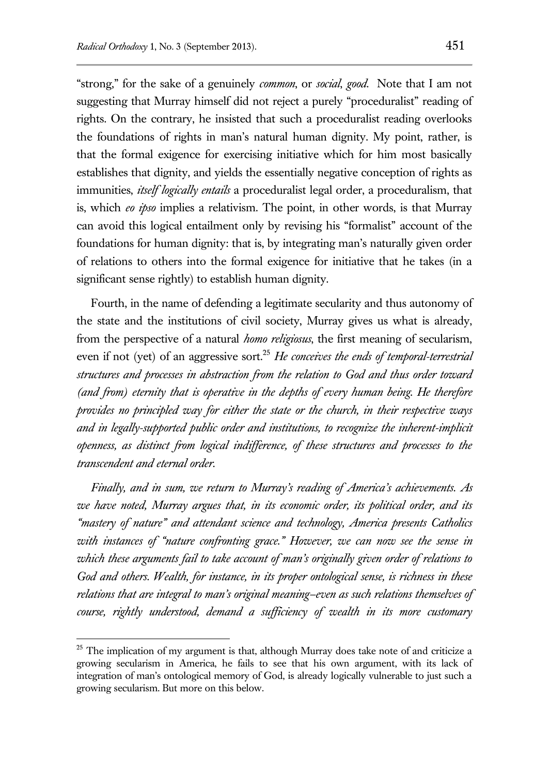"strong," for the sake of a genuinely *common*, or *social*, *good*. Note that I am not suggesting that Murray himself did not reject a purely "proceduralist" reading of rights. On the contrary, he insisted that such a proceduralist reading overlooks the foundations of rights in man's natural human dignity. My point, rather, is that the formal exigence for exercising initiative which for him most basically establishes that dignity, and yields the essentially negative conception of rights as immunities, *itself logically entails* a proceduralist legal order, a proceduralism, that is, which *eo ipso* implies a relativism. The point, in other words, is that Murray can avoid this logical entailment only by revising his "formalist" account of the foundations for human dignity: that is, by integrating man's naturally given order of relations to others into the formal exigence for initiative that he takes (in a significant sense rightly) to establish human dignity.

Fourth, in the name of defending a legitimate secularity and thus autonomy of the state and the institutions of civil society, Murray gives us what is already, from the perspective of a natural *homo religiosus*, the first meaning of secularism, even if not (yet) of an aggressive sort.<sup>25</sup> *He conceives the ends of temporal-terrestrial structures and processes in abstraction from the relation to God and thus order toward (and from) eternity that is operative in the depths of every human being. He therefore provides no principled way for either the state or the church, in their respective ways and in legally-supported public order and institutions, to recognize the inherent-implicit openness, as distinct from logical indifference, of these structures and processes to the transcendent and eternal order.*

*Finally, and in sum, we return to Murray's reading of America's achievements. As we have noted, Murray argues that, in its economic order, its political order, and its "mastery of nature" and attendant science and technology, America presents Catholics with instances of "nature confronting grace." However, we can now see the sense in which these arguments fail to take account of man's originally given order of relations to God and others. Wealth, for instance, in its proper ontological sense, is richness in these relations that are integral to man's original meaning—even as such relations themselves of course, rightly understood, demand a sufficiency of wealth in its more customary* 

 $25$  The implication of my argument is that, although Murray does take note of and criticize a growing secularism in America, he fails to see that his own argument, with its lack of integration of man's ontological memory of God, is already logically vulnerable to just such a growing secularism. But more on this below.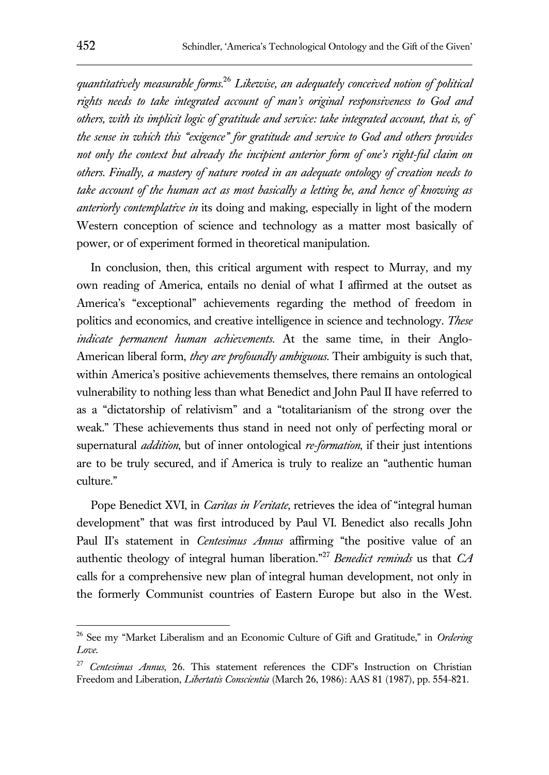*quantitatively measurable forms.*<sup>26</sup> *Likewise, an adequately conceived notion of political rights needs to take integrated account of man's original responsiveness to God and others, with its implicit logic of gratitude and service: take integrated account, that is, of the sense in which this "exigence" for gratitude and service to God and others provides not only the context but already the incipient anterior form of one's right-ful claim on others. Finally, a mastery of nature rooted in an adequate ontology of creation needs to take account of the human act as most basically a letting be, and hence of knowing as anteriorly contemplative in* its doing and making, especially in light of the modern Western conception of science and technology as a matter most basically of power, or of experiment formed in theoretical manipulation.

In conclusion, then, this critical argument with respect to Murray, and my own reading of America, entails no denial of what I affirmed at the outset as America's "exceptional" achievements regarding the method of freedom in politics and economics, and creative intelligence in science and technology. *These indicate permanent human achievements*. At the same time, in their Anglo-American liberal form, *they are profoundly ambiguous*. Their ambiguity is such that, within America's positive achievements themselves, there remains an ontological vulnerability to nothing less than what Benedict and John Paul II have referred to as a "dictatorship of relativism" and a "totalitarianism of the strong over the weak." These achievements thus stand in need not only of perfecting moral or supernatural *addition*, but of inner ontological *re-formation*, if their just intentions are to be truly secured, and if America is truly to realize an "authentic human culture."

Pope Benedict XVI, in *Caritas in Veritate*, retrieves the idea of "integral human development" that was first introduced by Paul VI. Benedict also recalls John Paul II's statement in *Centesimus Annus* affirming "the positive value of an authentic theology of integral human liberation."<sup>27</sup> *Benedict reminds* us that *CA* calls for a comprehensive new plan of integral human development, not only in the formerly Communist countries of Eastern Europe but also in the West.

<sup>26</sup> See my "Market Liberalism and an Economic Culture of Gift and Gratitude," in *Ordering Love*.

<sup>27</sup> *Centesimus Annus*, 26. This statement references the CDF's Instruction on Christian Freedom and Liberation, *Libertatis Conscientia* (March 26, 1986): AAS 81 (1987), pp. 554-821.